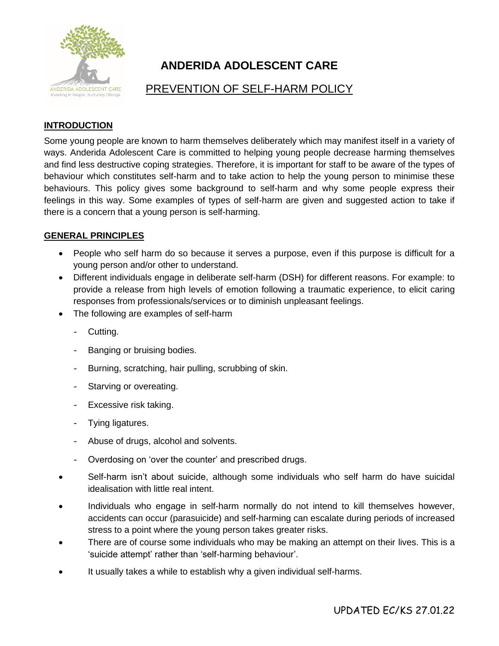

# **ANDERIDA ADOLESCENT CARE**

## PREVENTION OF SELF-HARM POLICY

### **INTRODUCTION**

Some young people are known to harm themselves deliberately which may manifest itself in a variety of ways. Anderida Adolescent Care is committed to helping young people decrease harming themselves and find less destructive coping strategies. Therefore, it is important for staff to be aware of the types of behaviour which constitutes self-harm and to take action to help the young person to minimise these behaviours. This policy gives some background to self-harm and why some people express their feelings in this way. Some examples of types of self-harm are given and suggested action to take if there is a concern that a young person is self-harming.

#### **GENERAL PRINCIPLES**

- People who self harm do so because it serves a purpose, even if this purpose is difficult for a young person and/or other to understand.
- Different individuals engage in deliberate self-harm (DSH) for different reasons. For example: to provide a release from high levels of emotion following a traumatic experience, to elicit caring responses from professionals/services or to diminish unpleasant feelings.
- The following are examples of self-harm
	- Cutting.
	- Banging or bruising bodies.
	- Burning, scratching, hair pulling, scrubbing of skin.
	- Starving or overeating.
	- Excessive risk taking.
	- Tying ligatures.
	- Abuse of drugs, alcohol and solvents.
	- Overdosing on 'over the counter' and prescribed drugs.
- Self-harm isn't about suicide, although some individuals who self harm do have suicidal idealisation with little real intent.
- Individuals who engage in self-harm normally do not intend to kill themselves however, accidents can occur (parasuicide) and self-harming can escalate during periods of increased stress to a point where the young person takes greater risks.
- There are of course some individuals who may be making an attempt on their lives. This is a 'suicide attempt' rather than 'self-harming behaviour'.
- It usually takes a while to establish why a given individual self-harms.